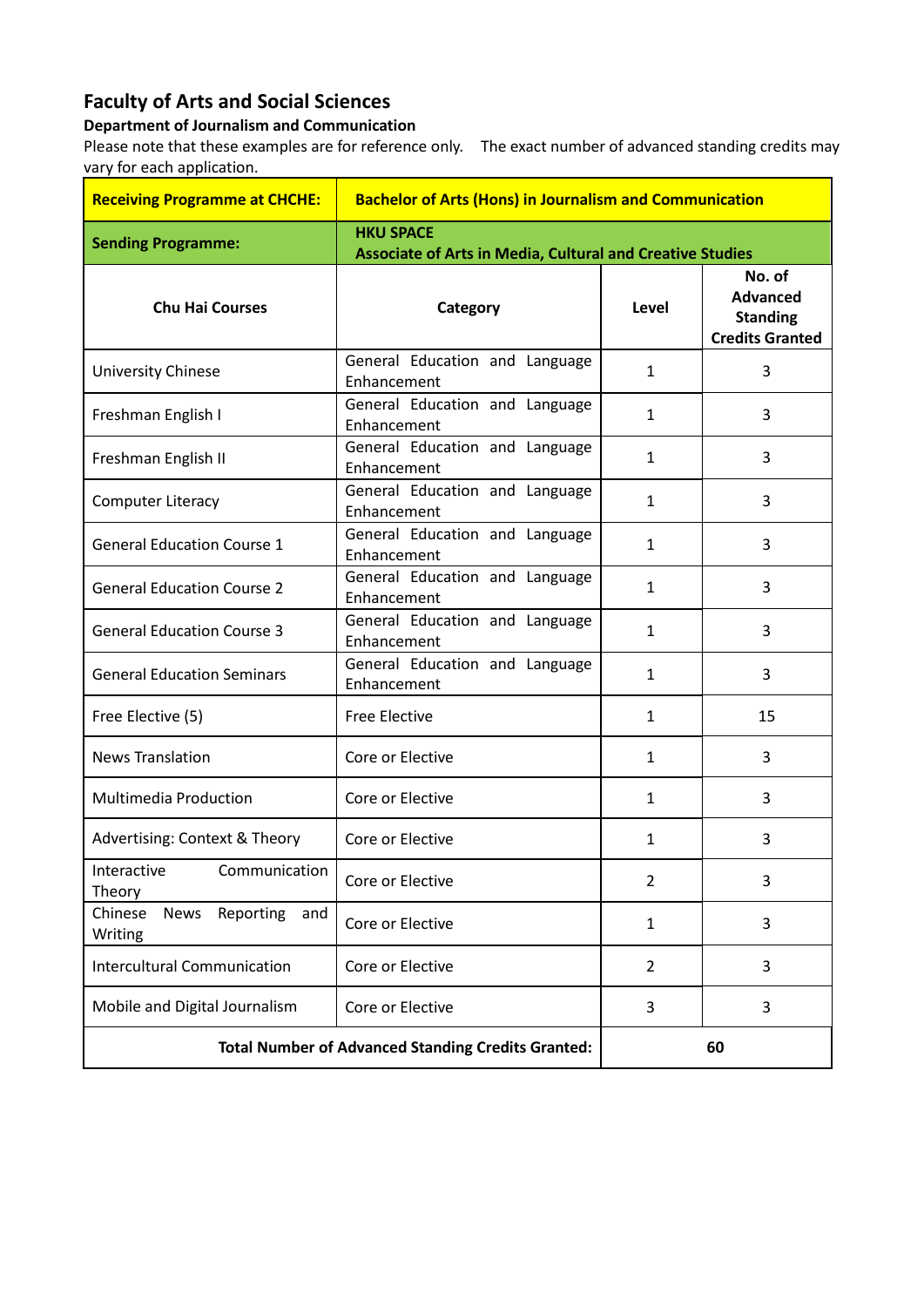## **Faculty of Arts and Social Sciences**

## **Department of Journalism and Communication**

Please note that these examples are for reference only. The exact number of advanced standing credits may vary for each application.

| <b>Receiving Programme at CHCHE:</b>                      | <b>Bachelor of Arts (Hons) in Journalism and Communication</b>                       |                |                                                                        |
|-----------------------------------------------------------|--------------------------------------------------------------------------------------|----------------|------------------------------------------------------------------------|
| <b>Sending Programme:</b>                                 | <b>HKU SPACE</b><br><b>Associate of Arts in Media, Cultural and Creative Studies</b> |                |                                                                        |
| <b>Chu Hai Courses</b>                                    | Category                                                                             | Level          | No. of<br><b>Advanced</b><br><b>Standing</b><br><b>Credits Granted</b> |
| <b>University Chinese</b>                                 | General Education and Language<br>Enhancement                                        | 1              | 3                                                                      |
| Freshman English I                                        | General Education and Language<br>Enhancement                                        | $\mathbf{1}$   | 3                                                                      |
| Freshman English II                                       | General Education and Language<br>Enhancement                                        | 1              | 3                                                                      |
| <b>Computer Literacy</b>                                  | General Education and Language<br>Enhancement                                        | $\mathbf{1}$   | 3                                                                      |
| <b>General Education Course 1</b>                         | General Education and Language<br>Enhancement                                        | $\mathbf{1}$   | 3                                                                      |
| <b>General Education Course 2</b>                         | General Education and Language<br>Enhancement                                        | 1              | 3                                                                      |
| <b>General Education Course 3</b>                         | General Education and Language<br>Enhancement                                        | $\mathbf{1}$   | 3                                                                      |
| <b>General Education Seminars</b>                         | General Education and Language<br>Enhancement                                        | 1              | 3                                                                      |
| Free Elective (5)                                         | <b>Free Elective</b>                                                                 | $\mathbf{1}$   | 15                                                                     |
| <b>News Translation</b>                                   | Core or Elective                                                                     | 1              | 3                                                                      |
| <b>Multimedia Production</b>                              | Core or Elective                                                                     | 1              | 3                                                                      |
| Advertising: Context & Theory                             | Core or Elective                                                                     | 1              | 3                                                                      |
| Communication<br>Interactive<br>Theory                    | Core or Elective                                                                     | $\overline{2}$ | 3                                                                      |
| Chinese<br><b>News</b><br>Reporting<br>and<br>Writing     | Core or Elective                                                                     | $\mathbf{1}$   | 3                                                                      |
| <b>Intercultural Communication</b>                        | Core or Elective                                                                     | $\overline{2}$ | 3                                                                      |
| Mobile and Digital Journalism                             | Core or Elective                                                                     | 3              | 3                                                                      |
| <b>Total Number of Advanced Standing Credits Granted:</b> |                                                                                      | 60             |                                                                        |